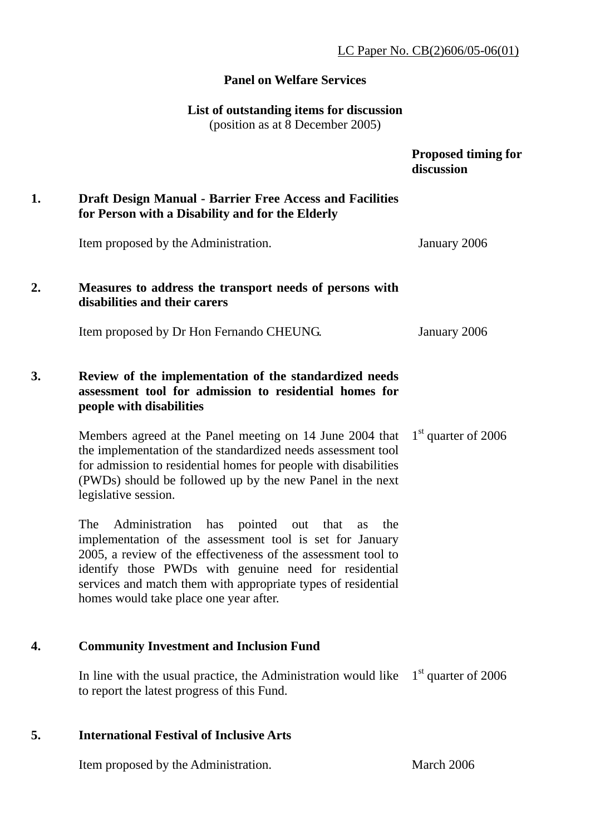## LC Paper No. CB(2)606/05-06(01)

## **Panel on Welfare Services**

#### **List of outstanding items for discussion**

(position as at 8 December 2005)

|    |                                                                                                                                                                                                                                                                                                                                                                   | <b>Proposed timing for</b><br>discussion |
|----|-------------------------------------------------------------------------------------------------------------------------------------------------------------------------------------------------------------------------------------------------------------------------------------------------------------------------------------------------------------------|------------------------------------------|
| 1. | <b>Draft Design Manual - Barrier Free Access and Facilities</b><br>for Person with a Disability and for the Elderly                                                                                                                                                                                                                                               |                                          |
|    | Item proposed by the Administration.                                                                                                                                                                                                                                                                                                                              | January 2006                             |
| 2. | Measures to address the transport needs of persons with<br>disabilities and their carers                                                                                                                                                                                                                                                                          |                                          |
|    | Item proposed by Dr Hon Fernando CHEUNG.                                                                                                                                                                                                                                                                                                                          | January 2006                             |
| 3. | Review of the implementation of the standardized needs<br>assessment tool for admission to residential homes for<br>people with disabilities                                                                                                                                                                                                                      |                                          |
|    | Members agreed at the Panel meeting on 14 June 2004 that<br>the implementation of the standardized needs assessment tool<br>for admission to residential homes for people with disabilities<br>(PWDs) should be followed up by the new Panel in the next<br>legislative session.                                                                                  | $1st$ quarter of 2006                    |
|    | The<br>Administration<br>has<br>pointed out<br>that<br>the<br>as<br>implementation of the assessment tool is set for January<br>2005, a review of the effectiveness of the assessment tool to<br>identify those PWDs with genuine need for residential<br>services and match them with appropriate types of residential<br>homes would take place one year after. |                                          |

## **4. Community Investment and Inclusion Fund**

In line with the usual practice, the Administration would like  $1<sup>st</sup>$  quarter of 2006 to report the latest progress of this Fund.

## **5. International Festival of Inclusive Arts**

Item proposed by the Administration. March 2006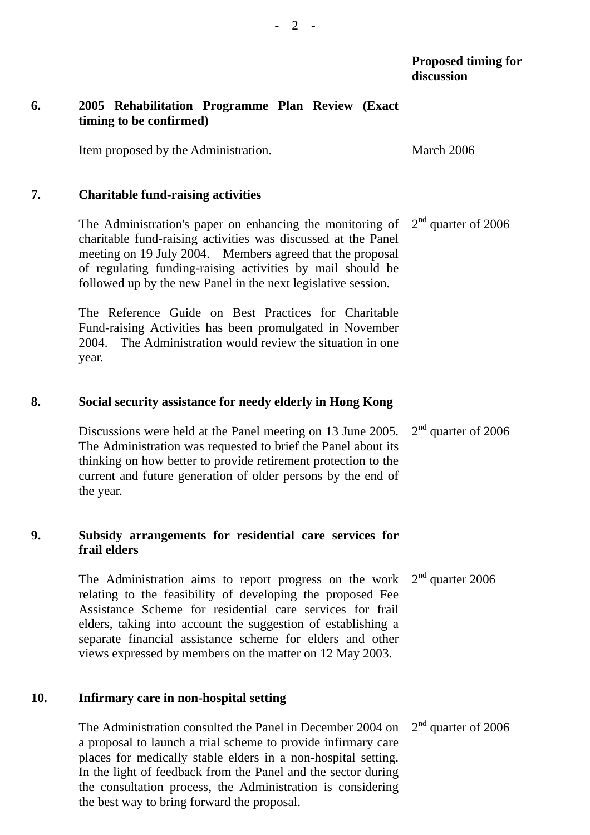## **6. 2005 Rehabilitation Programme Plan Review (Exact timing to be confirmed)**

Item proposed by the Administration. March 2006

#### **7. Charitable fund-raising activities**

The Administration's paper on enhancing the monitoring of charitable fund-raising activities was discussed at the Panel meeting on 19 July 2004. Members agreed that the proposal of regulating funding-raising activities by mail should be followed up by the new Panel in the next legislative session. 2<sup>nd</sup> quarter of 2006

The Reference Guide on Best Practices for Charitable Fund-raising Activities has been promulgated in November 2004. The Administration would review the situation in one year.

#### **8. Social security assistance for needy elderly in Hong Kong**

Discussions were held at the Panel meeting on 13 June 2005. The Administration was requested to brief the Panel about its thinking on how better to provide retirement protection to the current and future generation of older persons by the end of the year. 2<sup>nd</sup> quarter of 2006

## **9. Subsidy arrangements for residential care services for frail elders**

The Administration aims to report progress on the work relating to the feasibility of developing the proposed Fee Assistance Scheme for residential care services for frail elders, taking into account the suggestion of establishing a separate financial assistance scheme for elders and other views expressed by members on the matter on 12 May 2003.  $2<sup>nd</sup>$  quarter 2006

#### **10. Infirmary care in non-hospital setting**

The Administration consulted the Panel in December 2004 on a proposal to launch a trial scheme to provide infirmary care places for medically stable elders in a non-hospital setting. In the light of feedback from the Panel and the sector during the consultation process, the Administration is considering the best way to bring forward the proposal. 2<sup>nd</sup> quarter of 2006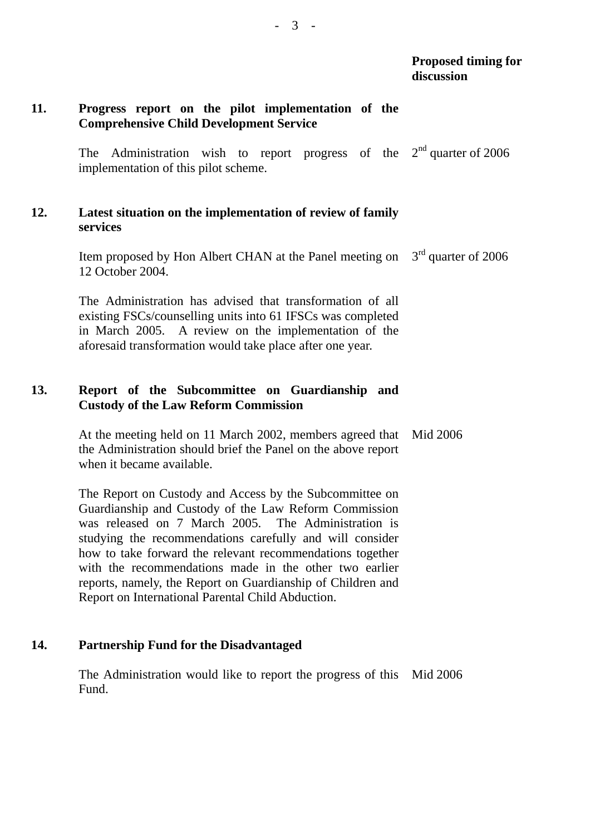## **11. Progress report on the pilot implementation of the Comprehensive Child Development Service**

The Administration wish to report progress of the  $2<sup>nd</sup>$  quarter of 2006 implementation of this pilot scheme.

## **12. Latest situation on the implementation of review of family services**

Item proposed by Hon Albert CHAN at the Panel meeting on  $3<sup>rd</sup>$  quarter of 2006 12 October 2004.

The Administration has advised that transformation of all existing FSCs/counselling units into 61 IFSCs was completed in March 2005. A review on the implementation of the aforesaid transformation would take place after one year.

## **13. Report of the Subcommittee on Guardianship and Custody of the Law Reform Commission**

At the meeting held on 11 March 2002, members agreed that the Administration should brief the Panel on the above report when it became available. Mid 2006

The Report on Custody and Access by the Subcommittee on Guardianship and Custody of the Law Reform Commission was released on 7 March 2005. The Administration is studying the recommendations carefully and will consider how to take forward the relevant recommendations together with the recommendations made in the other two earlier reports, namely, the Report on Guardianship of Children and Report on International Parental Child Abduction.

#### **14. Partnership Fund for the Disadvantaged**

The Administration would like to report the progress of this Mid 2006 Fund.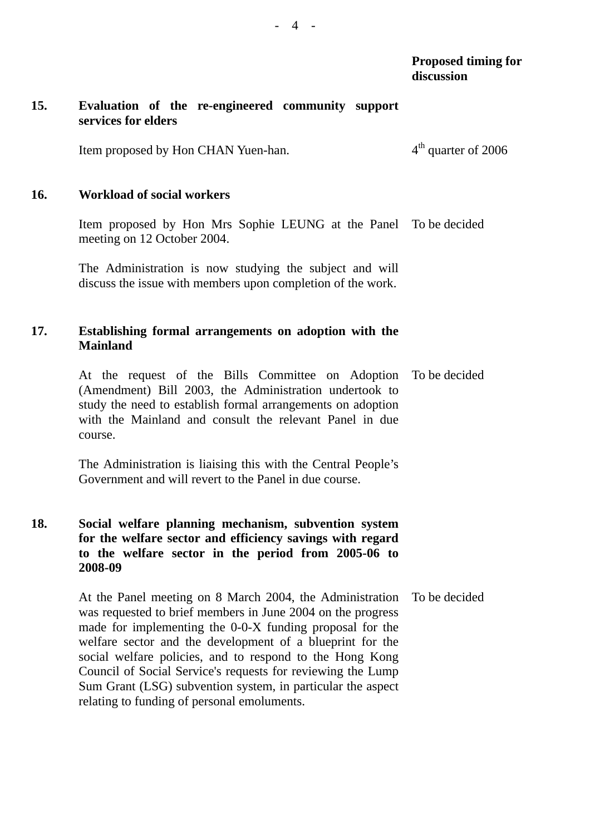## **15. Evaluation of the re-engineered community support services for elders**

Item proposed by Hon CHAN Yuen-han.  $4<sup>th</sup>$  quarter of 2006

#### **16. Workload of social workers**

Item proposed by Hon Mrs Sophie LEUNG at the Panel To be decided meeting on 12 October 2004.

The Administration is now studying the subject and will discuss the issue with members upon completion of the work.

## **17. Establishing formal arrangements on adoption with the Mainland**

At the request of the Bills Committee on Adoption (Amendment) Bill 2003, the Administration undertook to study the need to establish formal arrangements on adoption with the Mainland and consult the relevant Panel in due course. To be decided

The Administration is liaising this with the Central People's Government and will revert to the Panel in due course.

## **18. Social welfare planning mechanism, subvention system for the welfare sector and efficiency savings with regard to the welfare sector in the period from 2005-06 to 2008-09**

At the Panel meeting on 8 March 2004, the Administration was requested to brief members in June 2004 on the progress made for implementing the 0-0-X funding proposal for the welfare sector and the development of a blueprint for the social welfare policies, and to respond to the Hong Kong Council of Social Service's requests for reviewing the Lump Sum Grant (LSG) subvention system, in particular the aspect relating to funding of personal emoluments. To be decided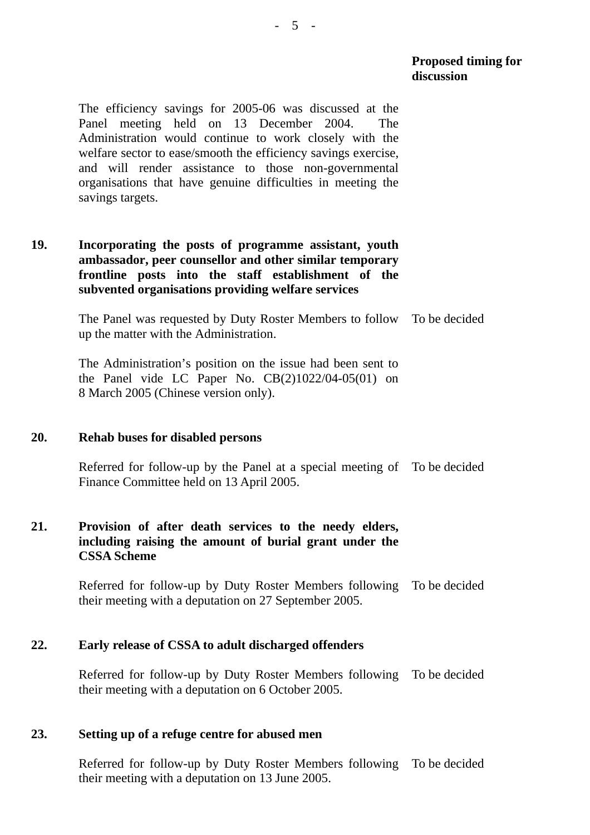**Proposed timing for discussion** 

The efficiency savings for 2005-06 was discussed at the Panel meeting held on 13 December 2004. The Administration would continue to work closely with the welfare sector to ease/smooth the efficiency savings exercise, and will render assistance to those non-governmental organisations that have genuine difficulties in meeting the savings targets.

## **19. Incorporating the posts of programme assistant, youth ambassador, peer counsellor and other similar temporary frontline posts into the staff establishment of the subvented organisations providing welfare services**

The Panel was requested by Duty Roster Members to follow To be decided up the matter with the Administration.

The Administration's position on the issue had been sent to the Panel vide LC Paper No.  $CB(2)1022/04-05(01)$  on 8 March 2005 (Chinese version only).

#### **20. Rehab buses for disabled persons**

Referred for follow-up by the Panel at a special meeting of To be decided Finance Committee held on 13 April 2005.

## **21. Provision of after death services to the needy elders, including raising the amount of burial grant under the CSSA Scheme**

Referred for follow-up by Duty Roster Members following their meeting with a deputation on 27 September 2005. To be decided

#### **22. Early release of CSSA to adult discharged offenders**

Referred for follow-up by Duty Roster Members following To be decided their meeting with a deputation on 6 October 2005.

## **23. Setting up of a refuge centre for abused men**

Referred for follow-up by Duty Roster Members following To be decided their meeting with a deputation on 13 June 2005.